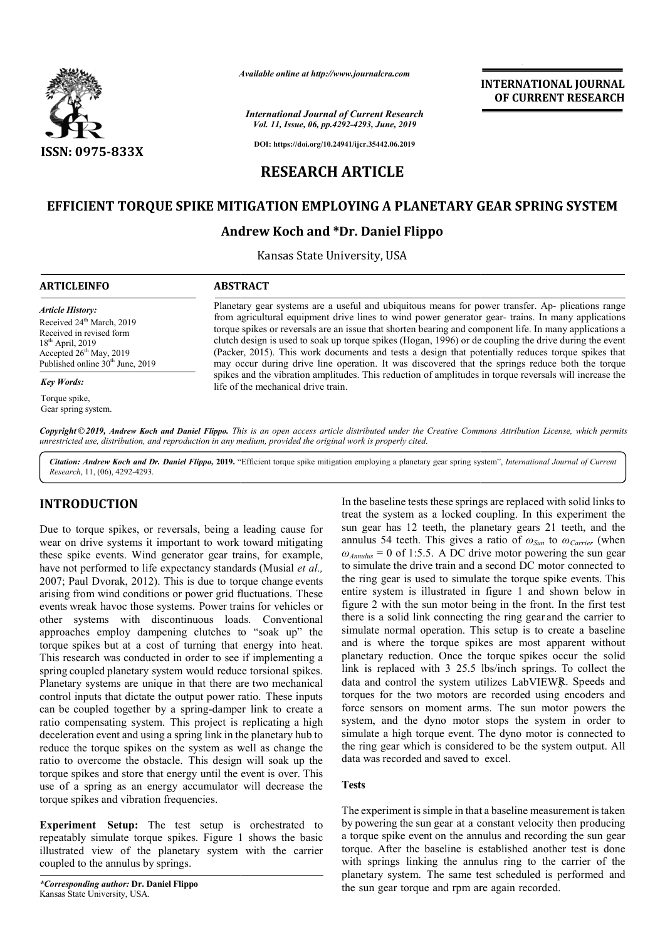

*Available online at http://www.journalcra.com*

*International Journal of Current Research Vol. 11, Issue, 06, pp.4292-4293, June, 2019*

**DOI: https://doi.org/10.24941/ijcr.35442.06.2019**

# **RESEARCH ARTICLE**

# **EFFICIENT TORQUE SPIKE MITIGATION EMPLOYING A PLANETARY GEAR SPRING SYSTEM**

# **Andrew Koch and \*Dr. Daniel Flippo**

Kansas State University, USA

## **ARTICLEINFO ABSTRACT**

*Article History:* Received 24<sup>th</sup> March, 2019 Received in revised form 18th April, 2019 Accepted  $26<sup>th</sup>$  May, 2019 Published online 30<sup>th</sup> June, 2019

*Key Words:*

Torque spike. Gear spring system.

Planetary gear systems are a useful and ubiquitous means for power transfer. Ap- plications range from agricultural equipment drive lines to wind power generator gear gear- trains. In many applications torque spikes or reversals are an issue that shorten bearin bearing and component life. In many applications a clutch design is used to soak up torque spikes (Hogan, 1996) or de coupling the drive during the event (Packer, 2015 Packer, 2015). This work documents and tests a design that potentially reduces torque spikes that may occur during drive line operation. It was discovered that the springs reduce both the torque spikes and the vibration amplitudes. This reduction of amplitudes in torque reversals will increase the life of the mechanical drive train. are an issue that shorten bearing and component life. In many applications a bak up torque spikes (Hogan, 1996) or de coupling the drive during the event k documents and tests a design that potentially reduces torque spike

Copyright © 2019, Andrew Koch and Daniel Flippo. This is an open access article distributed under the Creative Commons Attribution License, which permits *unrestricted use, distribution, and reproduction in any medium, provided the original work is properly cited.*

Citation: Andrew Koch and Dr. Daniel Flippo, 2019. "Efficient torque spike mitigation employing a planetary gear spring system", International Journal of Current *Research*, 11, (06), 4292-4293.

## **INTRODUCTION**

Due to torque spikes, or reversals, being a leading cause for wear on drive systems it important to work toward mitigating these spike events. Wind generator gear trains, for example, have not performed to life expectancy standards (Musial *et al.,*  2007; Paul Dvorak, 2012). This is due to torque change events arising from wind conditions or power grid fluctuations. These events wreak havoc those systems. Power trains for vehicles or other systems with discontinuous loads. Conventional approaches employ dampening clutches to "soak up" the torque spikes but at a cost of turning that energy into heat. This research was conducted in order to see if implementing a spring coupled planetary system would reduce torsional spikes. Planetary systems are unique in that there are two mechanical control inputs that dictate the output power ratio. These inputs can be coupled together by a spring-damper link to create a ratio compensating system. This project is replicating a high deceleration event and using a spring link in the planetary hub to reduce the torque spikes on the system as well as change the ratio to overcome the obstacle. This design will soak up the torque spikes and store that energy until the event is over. This use of a spring as an energy accumulator will decrease the torque spikes and vibration frequencies. **TION** In the baseline tests these springs<br>
treat the systems in tens of the systems in spaces of<br>
systems it important to work toward mitigating annulus 54 teeth. This gives a<br>
ents. Wind generator gear trains, for examp

**Experiment Setup:** The test setup is orchestrated to repeatably simulate torque spikes. Figure 1 shows the basic illustrated view of the planetary system with the carrier coupled to the annulus by springs.

treat the system as a locked coupling. In this experiment the sun gear has 12 teeth, the planetary gears 21 teeth, and the treat the system as a locked coupling. In this experiment the sun gear has 12 teeth, the planetary gears 21 teeth, and the annulus 54 teeth. This gives a ratio of  $\omega_{Sun}$  to  $\omega_{Carrier}$  (when  $\omega_{Annulus} = 0$  of 1:5.5. A DC drive motor powering the sun gear to simulate the drive train and a second DC motor connected to the ring gear is used to simulate the torque spike events. This entire system is illustrated in figure 1 and shown below in figure 2 with the sun motor being in the front. In the first test there is a solid link connecting the ring gear and the carrier to simulate normal operation. This setup is to create a baseline simulate normal operation. This setup is to create a baseline and is where the torque spikes are most apparent without planetary reduction. Once the torque spikes occur the solid link is replaced with 3 25.5 lbs/inch springs. To collect the data and control the system utilizes LabVIEW*R*. Speeds and torques for the two motors are recorded using encoders and force sensors on moment arms. The sun motor powers the system, and the dyno motor stops the system in order to simulate a high torque event. The dyno motor is connected to torques for the two motors are recorded using encoders and force sensors on moment arms. The sun motor powers the system, and the dyno motor stops the system in order to simulate a high torque event. The dyno motor is conn data was recorded and saved to excel. In the baseline tests these springs are replaced with solid links to itive system is illustrated in figure 1 and shown below in gure 2 with the sun motor being in the front. In the first test ere is a solid link connecting the ring gear and the carrier to

**INTERNATIONAL JOURNAL OF CURRENT RESEARCH**

## **Tests**

The experiment is simple in that a baseline measurement is taken by powering the sun gear at a constant velocity then producing a torque spike event on the annulus and recording the sun gear a torque spike event on the annulus and recording the sun gear torque. After the baseline is established another test is done with springs linking the annulus ring to the carrier of the planetary system. The same test scheduled is performed and the sun gear torque and rpm are again recorded.